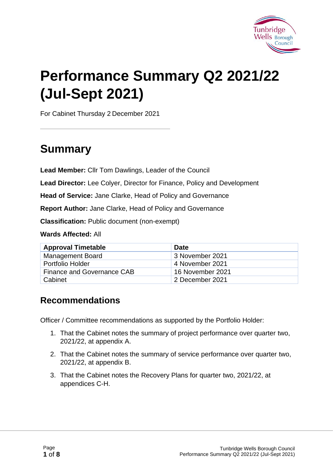

# **Performance Summary Q2 2021/22 (Jul-Sept 2021)**

For Cabinet Thursday 2 December 2021

### **Summary**

**Lead Member:** Cllr Tom Dawlings, Leader of the Council

**Lead Director:** Lee Colyer, Director for Finance, Policy and Development

**Head of Service:** Jane Clarke, Head of Policy and Governance

**Report Author:** Jane Clarke, Head of Policy and Governance

**Classification:** Public document (non-exempt)

**Wards Affected:** All

| <b>Approval Timetable</b>  | <b>Date</b>      |
|----------------------------|------------------|
| <b>Management Board</b>    | 3 November 2021  |
| Portfolio Holder           | 4 November 2021  |
| Finance and Governance CAB | 16 November 2021 |
| Cabinet                    | 2 December 2021  |

#### **Recommendations**

Officer / Committee recommendations as supported by the Portfolio Holder:

- 1. That the Cabinet notes the summary of project performance over quarter two, 2021/22, at appendix A.
- 2. That the Cabinet notes the summary of service performance over quarter two, 2021/22, at appendix B.
- 3. That the Cabinet notes the Recovery Plans for quarter two, 2021/22, at appendices C-H.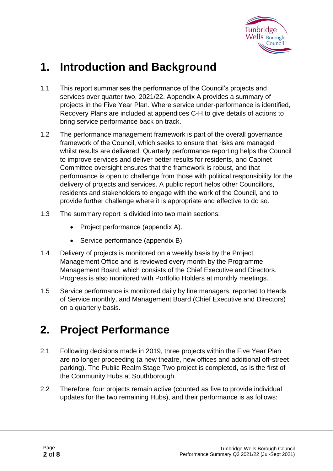

### **1. Introduction and Background**

- 1.1 This report summarises the performance of the Council's projects and services over quarter two, 2021/22. Appendix A provides a summary of projects in the Five Year Plan. Where service under-performance is identified, Recovery Plans are included at appendices C-H to give details of actions to bring service performance back on track.
- 1.2 The performance management framework is part of the overall governance framework of the Council, which seeks to ensure that risks are managed whilst results are delivered. Quarterly performance reporting helps the Council to improve services and deliver better results for residents, and Cabinet Committee oversight ensures that the framework is robust, and that performance is open to challenge from those with political responsibility for the delivery of projects and services. A public report helps other Councillors, residents and stakeholders to engage with the work of the Council, and to provide further challenge where it is appropriate and effective to do so.
- 1.3 The summary report is divided into two main sections:
	- Project performance (appendix A).
	- Service performance (appendix B).
- 1.4 Delivery of projects is monitored on a weekly basis by the Project Management Office and is reviewed every month by the Programme Management Board, which consists of the Chief Executive and Directors. Progress is also monitored with Portfolio Holders at monthly meetings.
- 1.5 Service performance is monitored daily by line managers, reported to Heads of Service monthly, and Management Board (Chief Executive and Directors) on a quarterly basis.

### **2. Project Performance**

- 2.1 Following decisions made in 2019, three projects within the Five Year Plan are no longer proceeding (a new theatre, new offices and additional off-street parking). The Public Realm Stage Two project is completed, as is the first of the Community Hubs at Southborough.
- 2.2 Therefore, four projects remain active (counted as five to provide individual updates for the two remaining Hubs), and their performance is as follows: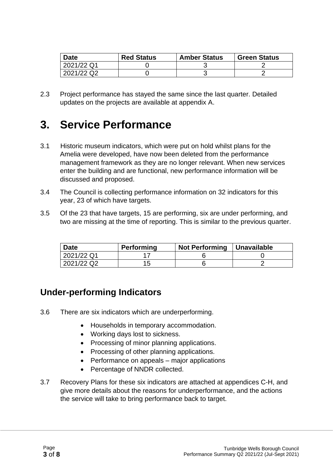| <b>Date</b> | <b>Red Status</b> | <b>Amber Status</b> | <b>Green Status</b> |
|-------------|-------------------|---------------------|---------------------|
| 2021/22 Q1  |                   |                     |                     |
| 2021/22 Q2  |                   |                     |                     |

2.3 Project performance has stayed the same since the last quarter. Detailed updates on the projects are available at appendix A.

### **3. Service Performance**

- 3.1 Historic museum indicators, which were put on hold whilst plans for the Amelia were developed, have now been deleted from the performance management framework as they are no longer relevant. When new services enter the building and are functional, new performance information will be discussed and proposed.
- 3.4 The Council is collecting performance information on 32 indicators for this year, 23 of which have targets.
- 3.5 Of the 23 that have targets, 15 are performing, six are under performing, and two are missing at the time of reporting. This is similar to the previous quarter.

| <b>Date</b> | <b>Performing</b> | Not Performing   Unavailable |  |
|-------------|-------------------|------------------------------|--|
| 2021/22 Q1  |                   |                              |  |
| 2021/22 Q2  | 1 h               |                              |  |

#### **Under-performing Indicators**

- 3.6 There are six indicators which are underperforming.
	- Households in temporary accommodation.
	- Working days lost to sickness.
	- Processing of minor planning applications.
	- Processing of other planning applications.
	- Performance on appeals major applications
	- Percentage of NNDR collected.
- 3.7 Recovery Plans for these six indicators are attached at appendices C-H, and give more details about the reasons for underperformance, and the actions the service will take to bring performance back to target.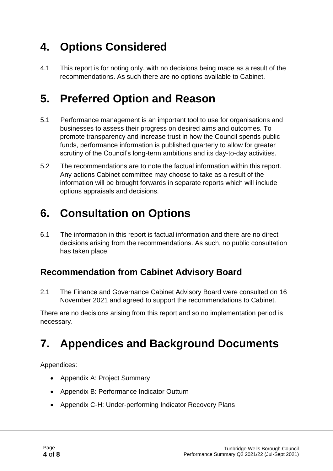### **4. Options Considered**

4.1 This report is for noting only, with no decisions being made as a result of the recommendations. As such there are no options available to Cabinet.

### **5. Preferred Option and Reason**

- 5.1 Performance management is an important tool to use for organisations and businesses to assess their progress on desired aims and outcomes. To promote transparency and increase trust in how the Council spends public funds, performance information is published quarterly to allow for greater scrutiny of the Council's long-term ambitions and its day-to-day activities.
- 5.2 The recommendations are to note the factual information within this report. Any actions Cabinet committee may choose to take as a result of the information will be brought forwards in separate reports which will include options appraisals and decisions.

### **6. Consultation on Options**

6.1 The information in this report is factual information and there are no direct decisions arising from the recommendations. As such, no public consultation has taken place.

#### **Recommendation from Cabinet Advisory Board**

2.1 The Finance and Governance Cabinet Advisory Board were consulted on 16 November 2021 and agreed to support the recommendations to Cabinet.

There are no decisions arising from this report and so no implementation period is necessary.

## **7. Appendices and Background Documents**

Appendices:

- Appendix A: Project Summary
- Appendix B: Performance Indicator Outturn
- Appendix C-H: Under-performing Indicator Recovery Plans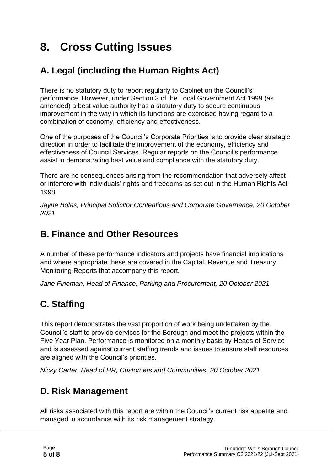## **8. Cross Cutting Issues**

### **A. Legal (including the Human Rights Act)**

There is no statutory duty to report regularly to Cabinet on the Council's performance. However, under Section 3 of the Local Government Act 1999 (as amended) a best value authority has a statutory duty to secure continuous improvement in the way in which its functions are exercised having regard to a combination of economy, efficiency and effectiveness.

One of the purposes of the Council's Corporate Priorities is to provide clear strategic direction in order to facilitate the improvement of the economy, efficiency and effectiveness of Council Services. Regular reports on the Council's performance assist in demonstrating best value and compliance with the statutory duty.

There are no consequences arising from the recommendation that adversely affect or interfere with individuals' rights and freedoms as set out in the Human Rights Act 1998.

*Jayne Bolas, Principal Solicitor Contentious and Corporate Governance, 20 October 2021*

#### **B. Finance and Other Resources**

A number of these performance indicators and projects have financial implications and where appropriate these are covered in the Capital, Revenue and Treasury Monitoring Reports that accompany this report.

*Jane Fineman, Head of Finance, Parking and Procurement, 20 October 2021*

### **C. Staffing**

This report demonstrates the vast proportion of work being undertaken by the Council's staff to provide services for the Borough and meet the projects within the Five Year Plan. Performance is monitored on a monthly basis by Heads of Service and is assessed against current staffing trends and issues to ensure staff resources are aligned with the Council's priorities.

*Nicky Carter, Head of HR, Customers and Communities, 20 October 2021*

#### **D. Risk Management**

All risks associated with this report are within the Council's current risk appetite and managed in accordance with its risk management strategy.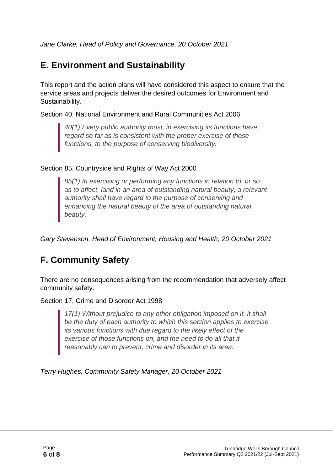*Jane Clarke, Head of Policy and Governance, 20 October 2021*

#### **E. Environment and Sustainability**

This report and the action plans will have considered this aspect to ensure that the service areas and projects deliver the desired outcomes for Environment and Sustainability.

Section 40, National Environment and Rural Communities Act 2006

*40(1) Every public authority must, in exercising its functions have regard so far as is consistent with the proper exercise of those functions, to the purpose of conserving biodiversity.*

#### Section 85, Countryside and Rights of Way Act 2000

*85(1) In exercising or performing any functions in relation to, or so as to affect, land in an area of outstanding natural beauty, a relevant authority shall have regard to the purpose of conserving and enhancing the natural beauty of the area of outstanding natural beauty.*

*Gary Stevenson, Head of Environment, Housing and Health, 20 October 2021*

#### **F. Community Safety**

There are no consequences arising from the recommendation that adversely affect community safety.

Section 17, Crime and Disorder Act 1998

*17(1) Without prejudice to any other obligation imposed on it, it shall be the duty of each authority to which this section applies to exercise its various functions with due regard to the likely effect of the exercise of those functions on, and the need to do all that it reasonably can to prevent, crime and disorder in its area.*

*Terry Hughes, Community Safety Manager, 20 October 2021*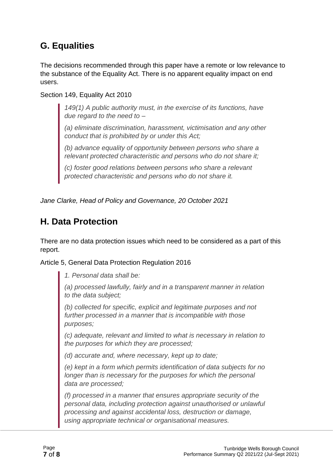#### **G. Equalities**

The decisions recommended through this paper have a remote or low relevance to the substance of the Equality Act. There is no apparent equality impact on end users.

Section 149, Equality Act 2010

*149(1) A public authority must, in the exercise of its functions, have due regard to the need to –*

*(a) eliminate discrimination, harassment, victimisation and any other conduct that is prohibited by or under this Act;*

*(b) advance equality of opportunity between persons who share a relevant protected characteristic and persons who do not share it;*

*(c) foster good relations between persons who share a relevant protected characteristic and persons who do not share it.*

*Jane Clarke, Head of Policy and Governance, 20 October 2021*

#### **H. Data Protection**

There are no data protection issues which need to be considered as a part of this report.

Article 5, General Data Protection Regulation 2016

*1. Personal data shall be:*

*(a) processed lawfully, fairly and in a transparent manner in relation to the data subject;*

*(b) collected for specific, explicit and legitimate purposes and not further processed in a manner that is incompatible with those purposes;*

*(c) adequate, relevant and limited to what is necessary in relation to the purposes for which they are processed;*

*(d) accurate and, where necessary, kept up to date;*

*(e) kept in a form which permits identification of data subjects for no longer than is necessary for the purposes for which the personal data are processed;*

*(f) processed in a manner that ensures appropriate security of the personal data, including protection against unauthorised or unlawful processing and against accidental loss, destruction or damage, using appropriate technical or organisational measures.*